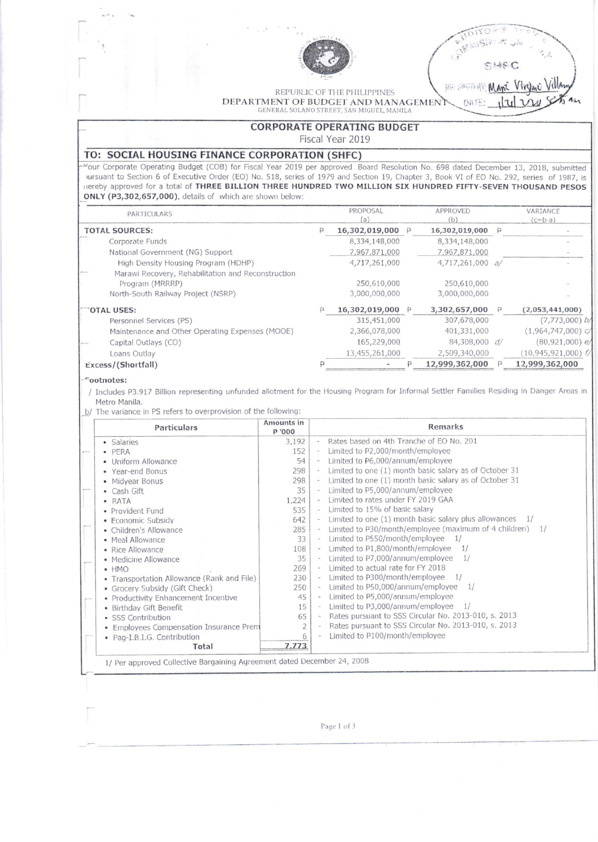

ITOR'S **CARRICAN CHI** SHEC<br>B SHEC

REPUBLIC OF THE PHILIPPINES DEPARTMENT OF BUDGET AND MANAGEMENT GENERAL SOLANO STREET, SAN MIGUEL, MANILA

DATE:

## CORPORATE OPERATING BUDGET

Fiscal Year 2019

## TO: SOCIAL HOUSING FINANCE CORPORATION (SHFC)

Mour Corporate Operating Budget (COB) for Fiscal Year 2019 per approved Board Resolution No. 698 dated December 13, 2018, submitted vursuant to Section 6 of Executive Order (EO) No. 518, series of 1979 and Section 19, Chapter 3, Book VI of EO No. 292, series of 1987, is lrereby approved For a total of THREE BILLION THREE HUNORED TWO MILLION SIX HUNDRED FIFTY-SEVEN THOUSAND PESOS ONLY (F3,302,657,0O0), details of which are shown below;

|                       | PARTICULARS                                                                                                 | PROPOSAL<br>(a)              | APPROVED<br>(b)              |              | VARIANCE<br>$(c=b-a)$       |
|-----------------------|-------------------------------------------------------------------------------------------------------------|------------------------------|------------------------------|--------------|-----------------------------|
| <b>TOTAL SOURCES:</b> |                                                                                                             | 16,302,019,000 P             | 16,302,019,000 P             |              |                             |
|                       | Corporate Funds                                                                                             | 8,334,148,000                | 8,334,148,000                |              |                             |
|                       | National Government (NG) Support                                                                            | 7,967,871,000                | 7,967,871,000                |              |                             |
|                       | High Density Housing Program (HDHP)                                                                         | 4,717,261,000                | 4,717,261,000 a/             |              |                             |
|                       | Marawi Recovery, Rehabilitation and Reconstruction<br>Program (MRRRP)<br>North-South Railway Project (NSRP) | 250,610,000<br>3,000,000,000 | 250,610,000<br>3,000,000,000 |              |                             |
| OTAL USES:            |                                                                                                             | 16,302,019,000 P             | 3,302,657,000                | $\mathsf{P}$ | (2,053,441,000)             |
|                       | Personnel Services (PS)                                                                                     | 315,451,000                  | 307,678,000                  |              | $(7, 773, 000)$ b           |
|                       | Maintenance and Other Operating Expenses (MOOE)                                                             | 2,366,078,000                | 401,331,000                  |              | (1,964,747,000)             |
|                       | Capital Outlays (CO)                                                                                        | 165,229,000                  | 84,308,000 d/                |              | $(80, 921, 000)$ $\epsilon$ |
|                       | Loans Outlay                                                                                                | 13,455,261,000               | 2,509,340,000                |              | $(10,945,921,000)$ f        |
| Excess/(Shortfall)    |                                                                                                             |                              | 12,999,362,000               |              | 12,999,362,000              |
|                       |                                                                                                             |                              |                              |              |                             |

## rootnotesi

/ Includes P3.917 Billion representing unfunded allotment for the Housing Program for Informal Settler Families Residing in Danger Areas in Metro Manila.

b/ The variance in PS refers to overprovision of the following:

| Particulars                                | Amounts in<br>P '000 | Remarks                                                      |  |  |
|--------------------------------------------|----------------------|--------------------------------------------------------------|--|--|
| · Salaries                                 | 3,192                | Rates based on 4th Tranche of EO No. 201<br>$\sim$           |  |  |
| $\bullet$ PERA                             | 152                  | Limited to P2,000/month/employee                             |  |  |
| • Uniform Allowance                        | 54                   | Limited to P6,000/annum/employee                             |  |  |
| • Year-end Bonus                           | 298                  | Limited to one (1) month basic salary as of October 31       |  |  |
| • Midyear Bonus                            | 298                  | Limited to one (1) month basic salary as of October 31       |  |  |
| • Cash Gift                                | 35                   | Limited to P5,000/annum/employee                             |  |  |
| · RATA                                     | 1,224                | Limited to rates under FY 2019 GAA                           |  |  |
| • Provident Fund                           | 535                  | Limited to 15% of basic salary                               |  |  |
| • Economic Subsidy                         | 642                  | Limited to one $(1)$ month basic salary plus allowances $1/$ |  |  |
| • Children's Allowance                     | 285                  | Limited to P30/month/employee (maximum of 4 children) 1/     |  |  |
| • Meal Allowance                           | 33                   | Limited to P550/month/employee<br>1/                         |  |  |
| • Rice Allowance                           | 108                  | Limited to P1,800/month/employee 1/                          |  |  |
| • Medicine Allowance                       | 35                   | Limited to P7,000/annum/employee<br>1/                       |  |  |
| $\bullet$ HMO                              | 269                  | Limited to actual rate for FY 2018                           |  |  |
| • Transportation Allowance (Rank and File) | 230                  | Limited to $P300/month/employee 1/$                          |  |  |
| • Grocery Subsidy (Gift Check)             | 250                  | Limited to P50,000/annum/employee<br>1/                      |  |  |
| • Productivity Enhancement Incentive       | 45                   | Limited to P5,000/annum/employee<br>$\sim$                   |  |  |
| • Birthday Gift Benefit                    | 15                   | Limited to P3,000/annum/employee<br>1/<br>$\sim$             |  |  |
| • SSS Contribution                         | 65                   | Rates pursuant to SSS Circular No. 2013-010, s. 2013         |  |  |
| • Employees Compensation Insurance Prem    | $\overline{2}$       | Rates pursuant to SSS Circular No. 2013-010, s. 2013         |  |  |
| • Pag-I.B.I.G. Contribution                | 6                    | Limited to P100/month/employee                               |  |  |
| Total                                      | 7.773                |                                                              |  |  |

Page 1 of 3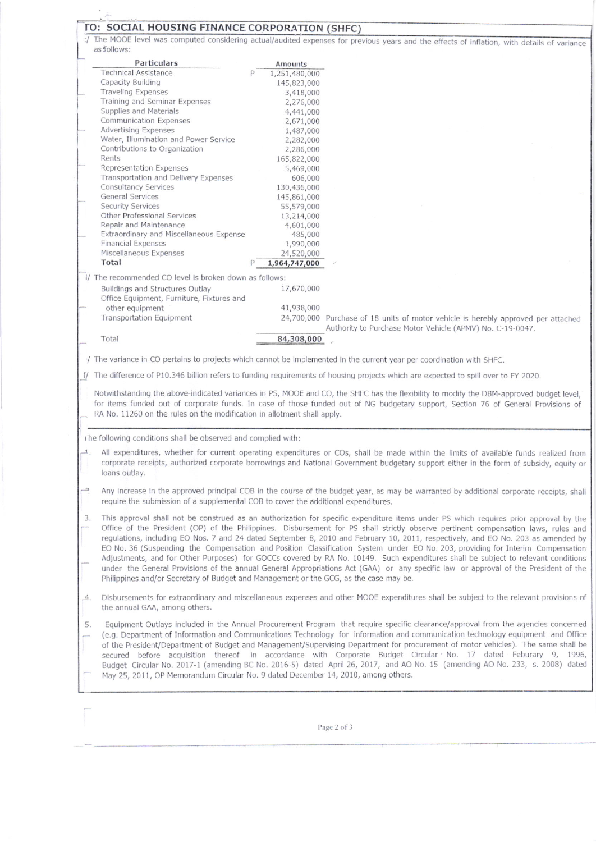|                                                                                                                                          | TO: SOCIAL HOUSING FINANCE CORPORATION (SHFC) | The MOOE level was computed considering actual/audited expenses for previous years and the effects of inflation, with details of variance                                                                                                                                                                                                                                                                                                                                                                                                                                                                                                                                                                                                                                                                                                                                                                                                                                                                                                                                                                                                                                                                                                                                                                                                                                                                                                                                                                                                                                                                                                                                                                                                                                          |
|------------------------------------------------------------------------------------------------------------------------------------------|-----------------------------------------------|------------------------------------------------------------------------------------------------------------------------------------------------------------------------------------------------------------------------------------------------------------------------------------------------------------------------------------------------------------------------------------------------------------------------------------------------------------------------------------------------------------------------------------------------------------------------------------------------------------------------------------------------------------------------------------------------------------------------------------------------------------------------------------------------------------------------------------------------------------------------------------------------------------------------------------------------------------------------------------------------------------------------------------------------------------------------------------------------------------------------------------------------------------------------------------------------------------------------------------------------------------------------------------------------------------------------------------------------------------------------------------------------------------------------------------------------------------------------------------------------------------------------------------------------------------------------------------------------------------------------------------------------------------------------------------------------------------------------------------------------------------------------------------|
| as follows:                                                                                                                              |                                               |                                                                                                                                                                                                                                                                                                                                                                                                                                                                                                                                                                                                                                                                                                                                                                                                                                                                                                                                                                                                                                                                                                                                                                                                                                                                                                                                                                                                                                                                                                                                                                                                                                                                                                                                                                                    |
| <b>Particulars</b>                                                                                                                       | Amounts                                       |                                                                                                                                                                                                                                                                                                                                                                                                                                                                                                                                                                                                                                                                                                                                                                                                                                                                                                                                                                                                                                                                                                                                                                                                                                                                                                                                                                                                                                                                                                                                                                                                                                                                                                                                                                                    |
| <b>Technical Assistance</b>                                                                                                              | 1,251,480,000                                 |                                                                                                                                                                                                                                                                                                                                                                                                                                                                                                                                                                                                                                                                                                                                                                                                                                                                                                                                                                                                                                                                                                                                                                                                                                                                                                                                                                                                                                                                                                                                                                                                                                                                                                                                                                                    |
| Capacity Building                                                                                                                        | 145,823,000                                   |                                                                                                                                                                                                                                                                                                                                                                                                                                                                                                                                                                                                                                                                                                                                                                                                                                                                                                                                                                                                                                                                                                                                                                                                                                                                                                                                                                                                                                                                                                                                                                                                                                                                                                                                                                                    |
| <b>Traveling Expenses</b>                                                                                                                | 3,418,000                                     |                                                                                                                                                                                                                                                                                                                                                                                                                                                                                                                                                                                                                                                                                                                                                                                                                                                                                                                                                                                                                                                                                                                                                                                                                                                                                                                                                                                                                                                                                                                                                                                                                                                                                                                                                                                    |
| Training and Seminar Expenses                                                                                                            | 2,276,000                                     |                                                                                                                                                                                                                                                                                                                                                                                                                                                                                                                                                                                                                                                                                                                                                                                                                                                                                                                                                                                                                                                                                                                                                                                                                                                                                                                                                                                                                                                                                                                                                                                                                                                                                                                                                                                    |
| Supplies and Materials                                                                                                                   | 4,441,000                                     |                                                                                                                                                                                                                                                                                                                                                                                                                                                                                                                                                                                                                                                                                                                                                                                                                                                                                                                                                                                                                                                                                                                                                                                                                                                                                                                                                                                                                                                                                                                                                                                                                                                                                                                                                                                    |
| <b>Communication Expenses</b>                                                                                                            | 2,671,000                                     |                                                                                                                                                                                                                                                                                                                                                                                                                                                                                                                                                                                                                                                                                                                                                                                                                                                                                                                                                                                                                                                                                                                                                                                                                                                                                                                                                                                                                                                                                                                                                                                                                                                                                                                                                                                    |
| <b>Advertising Expenses</b>                                                                                                              | 1,487,000                                     |                                                                                                                                                                                                                                                                                                                                                                                                                                                                                                                                                                                                                                                                                                                                                                                                                                                                                                                                                                                                                                                                                                                                                                                                                                                                                                                                                                                                                                                                                                                                                                                                                                                                                                                                                                                    |
| Water, Illumination and Power Service                                                                                                    | 2,282,000                                     |                                                                                                                                                                                                                                                                                                                                                                                                                                                                                                                                                                                                                                                                                                                                                                                                                                                                                                                                                                                                                                                                                                                                                                                                                                                                                                                                                                                                                                                                                                                                                                                                                                                                                                                                                                                    |
| Contributions to Organization                                                                                                            | 2,286,000                                     |                                                                                                                                                                                                                                                                                                                                                                                                                                                                                                                                                                                                                                                                                                                                                                                                                                                                                                                                                                                                                                                                                                                                                                                                                                                                                                                                                                                                                                                                                                                                                                                                                                                                                                                                                                                    |
| Rents                                                                                                                                    | 165,822,000                                   |                                                                                                                                                                                                                                                                                                                                                                                                                                                                                                                                                                                                                                                                                                                                                                                                                                                                                                                                                                                                                                                                                                                                                                                                                                                                                                                                                                                                                                                                                                                                                                                                                                                                                                                                                                                    |
| Representation Expenses                                                                                                                  | 5,469,000                                     |                                                                                                                                                                                                                                                                                                                                                                                                                                                                                                                                                                                                                                                                                                                                                                                                                                                                                                                                                                                                                                                                                                                                                                                                                                                                                                                                                                                                                                                                                                                                                                                                                                                                                                                                                                                    |
| Transportation and Delivery Expenses                                                                                                     | 606,000                                       |                                                                                                                                                                                                                                                                                                                                                                                                                                                                                                                                                                                                                                                                                                                                                                                                                                                                                                                                                                                                                                                                                                                                                                                                                                                                                                                                                                                                                                                                                                                                                                                                                                                                                                                                                                                    |
| Consultancy Services                                                                                                                     | 130,436,000                                   |                                                                                                                                                                                                                                                                                                                                                                                                                                                                                                                                                                                                                                                                                                                                                                                                                                                                                                                                                                                                                                                                                                                                                                                                                                                                                                                                                                                                                                                                                                                                                                                                                                                                                                                                                                                    |
| General Services                                                                                                                         | 145,861,000                                   |                                                                                                                                                                                                                                                                                                                                                                                                                                                                                                                                                                                                                                                                                                                                                                                                                                                                                                                                                                                                                                                                                                                                                                                                                                                                                                                                                                                                                                                                                                                                                                                                                                                                                                                                                                                    |
| <b>Security Services</b>                                                                                                                 | 55,579,000                                    |                                                                                                                                                                                                                                                                                                                                                                                                                                                                                                                                                                                                                                                                                                                                                                                                                                                                                                                                                                                                                                                                                                                                                                                                                                                                                                                                                                                                                                                                                                                                                                                                                                                                                                                                                                                    |
| Other Professional Services                                                                                                              | 13,214,000                                    |                                                                                                                                                                                                                                                                                                                                                                                                                                                                                                                                                                                                                                                                                                                                                                                                                                                                                                                                                                                                                                                                                                                                                                                                                                                                                                                                                                                                                                                                                                                                                                                                                                                                                                                                                                                    |
| Repair and Maintenance<br>Extraordinary and Miscellaneous Expense                                                                        | 4,601,000                                     |                                                                                                                                                                                                                                                                                                                                                                                                                                                                                                                                                                                                                                                                                                                                                                                                                                                                                                                                                                                                                                                                                                                                                                                                                                                                                                                                                                                                                                                                                                                                                                                                                                                                                                                                                                                    |
| <b>Financial Expenses</b>                                                                                                                | 485,000<br>1,990,000                          |                                                                                                                                                                                                                                                                                                                                                                                                                                                                                                                                                                                                                                                                                                                                                                                                                                                                                                                                                                                                                                                                                                                                                                                                                                                                                                                                                                                                                                                                                                                                                                                                                                                                                                                                                                                    |
| Miscellaneous Expenses                                                                                                                   | 24,520,000                                    |                                                                                                                                                                                                                                                                                                                                                                                                                                                                                                                                                                                                                                                                                                                                                                                                                                                                                                                                                                                                                                                                                                                                                                                                                                                                                                                                                                                                                                                                                                                                                                                                                                                                                                                                                                                    |
| Total                                                                                                                                    | 1,964,747,000                                 |                                                                                                                                                                                                                                                                                                                                                                                                                                                                                                                                                                                                                                                                                                                                                                                                                                                                                                                                                                                                                                                                                                                                                                                                                                                                                                                                                                                                                                                                                                                                                                                                                                                                                                                                                                                    |
|                                                                                                                                          |                                               |                                                                                                                                                                                                                                                                                                                                                                                                                                                                                                                                                                                                                                                                                                                                                                                                                                                                                                                                                                                                                                                                                                                                                                                                                                                                                                                                                                                                                                                                                                                                                                                                                                                                                                                                                                                    |
| I/ The recommended CO level is broken down as follows:                                                                                   |                                               |                                                                                                                                                                                                                                                                                                                                                                                                                                                                                                                                                                                                                                                                                                                                                                                                                                                                                                                                                                                                                                                                                                                                                                                                                                                                                                                                                                                                                                                                                                                                                                                                                                                                                                                                                                                    |
| Buildings and Structures Outlay                                                                                                          | 17,670,000                                    |                                                                                                                                                                                                                                                                                                                                                                                                                                                                                                                                                                                                                                                                                                                                                                                                                                                                                                                                                                                                                                                                                                                                                                                                                                                                                                                                                                                                                                                                                                                                                                                                                                                                                                                                                                                    |
| Office Equipment, Furniture, Fixtures and                                                                                                |                                               |                                                                                                                                                                                                                                                                                                                                                                                                                                                                                                                                                                                                                                                                                                                                                                                                                                                                                                                                                                                                                                                                                                                                                                                                                                                                                                                                                                                                                                                                                                                                                                                                                                                                                                                                                                                    |
| other equipment                                                                                                                          | 41,938,000                                    |                                                                                                                                                                                                                                                                                                                                                                                                                                                                                                                                                                                                                                                                                                                                                                                                                                                                                                                                                                                                                                                                                                                                                                                                                                                                                                                                                                                                                                                                                                                                                                                                                                                                                                                                                                                    |
| <b>Transportation Equipment</b>                                                                                                          |                                               | 24,700,000 Purchase of 18 units of motor vehicle is herebly approved per attached                                                                                                                                                                                                                                                                                                                                                                                                                                                                                                                                                                                                                                                                                                                                                                                                                                                                                                                                                                                                                                                                                                                                                                                                                                                                                                                                                                                                                                                                                                                                                                                                                                                                                                  |
|                                                                                                                                          |                                               | Authority to Purchase Motor Vehicle (APMV) No. C-19-0047.                                                                                                                                                                                                                                                                                                                                                                                                                                                                                                                                                                                                                                                                                                                                                                                                                                                                                                                                                                                                                                                                                                                                                                                                                                                                                                                                                                                                                                                                                                                                                                                                                                                                                                                          |
| Total                                                                                                                                    | 84,308,000                                    |                                                                                                                                                                                                                                                                                                                                                                                                                                                                                                                                                                                                                                                                                                                                                                                                                                                                                                                                                                                                                                                                                                                                                                                                                                                                                                                                                                                                                                                                                                                                                                                                                                                                                                                                                                                    |
|                                                                                                                                          |                                               |                                                                                                                                                                                                                                                                                                                                                                                                                                                                                                                                                                                                                                                                                                                                                                                                                                                                                                                                                                                                                                                                                                                                                                                                                                                                                                                                                                                                                                                                                                                                                                                                                                                                                                                                                                                    |
|                                                                                                                                          |                                               |                                                                                                                                                                                                                                                                                                                                                                                                                                                                                                                                                                                                                                                                                                                                                                                                                                                                                                                                                                                                                                                                                                                                                                                                                                                                                                                                                                                                                                                                                                                                                                                                                                                                                                                                                                                    |
|                                                                                                                                          |                                               | / The variance in CO pertains to projects which cannot be implemented in the current year per coordination with SHFC.                                                                                                                                                                                                                                                                                                                                                                                                                                                                                                                                                                                                                                                                                                                                                                                                                                                                                                                                                                                                                                                                                                                                                                                                                                                                                                                                                                                                                                                                                                                                                                                                                                                              |
|                                                                                                                                          |                                               | f/ The difference of P10.346 billion refers to funding requirements of housing projects which are expected to spill over to FY 2020.                                                                                                                                                                                                                                                                                                                                                                                                                                                                                                                                                                                                                                                                                                                                                                                                                                                                                                                                                                                                                                                                                                                                                                                                                                                                                                                                                                                                                                                                                                                                                                                                                                               |
|                                                                                                                                          |                                               |                                                                                                                                                                                                                                                                                                                                                                                                                                                                                                                                                                                                                                                                                                                                                                                                                                                                                                                                                                                                                                                                                                                                                                                                                                                                                                                                                                                                                                                                                                                                                                                                                                                                                                                                                                                    |
|                                                                                                                                          |                                               |                                                                                                                                                                                                                                                                                                                                                                                                                                                                                                                                                                                                                                                                                                                                                                                                                                                                                                                                                                                                                                                                                                                                                                                                                                                                                                                                                                                                                                                                                                                                                                                                                                                                                                                                                                                    |
|                                                                                                                                          |                                               |                                                                                                                                                                                                                                                                                                                                                                                                                                                                                                                                                                                                                                                                                                                                                                                                                                                                                                                                                                                                                                                                                                                                                                                                                                                                                                                                                                                                                                                                                                                                                                                                                                                                                                                                                                                    |
|                                                                                                                                          |                                               |                                                                                                                                                                                                                                                                                                                                                                                                                                                                                                                                                                                                                                                                                                                                                                                                                                                                                                                                                                                                                                                                                                                                                                                                                                                                                                                                                                                                                                                                                                                                                                                                                                                                                                                                                                                    |
|                                                                                                                                          |                                               |                                                                                                                                                                                                                                                                                                                                                                                                                                                                                                                                                                                                                                                                                                                                                                                                                                                                                                                                                                                                                                                                                                                                                                                                                                                                                                                                                                                                                                                                                                                                                                                                                                                                                                                                                                                    |
| RA No. 11260 on the rules on the modification in allotment shall apply.<br>The following conditions shall be observed and complied with: |                                               |                                                                                                                                                                                                                                                                                                                                                                                                                                                                                                                                                                                                                                                                                                                                                                                                                                                                                                                                                                                                                                                                                                                                                                                                                                                                                                                                                                                                                                                                                                                                                                                                                                                                                                                                                                                    |
|                                                                                                                                          |                                               |                                                                                                                                                                                                                                                                                                                                                                                                                                                                                                                                                                                                                                                                                                                                                                                                                                                                                                                                                                                                                                                                                                                                                                                                                                                                                                                                                                                                                                                                                                                                                                                                                                                                                                                                                                                    |
|                                                                                                                                          |                                               |                                                                                                                                                                                                                                                                                                                                                                                                                                                                                                                                                                                                                                                                                                                                                                                                                                                                                                                                                                                                                                                                                                                                                                                                                                                                                                                                                                                                                                                                                                                                                                                                                                                                                                                                                                                    |
|                                                                                                                                          |                                               |                                                                                                                                                                                                                                                                                                                                                                                                                                                                                                                                                                                                                                                                                                                                                                                                                                                                                                                                                                                                                                                                                                                                                                                                                                                                                                                                                                                                                                                                                                                                                                                                                                                                                                                                                                                    |
| loans outlay.                                                                                                                            |                                               | Notwithstanding the above-indicated variances in PS, MOOE and CO, the SHFC has the flexibility to modify the DBM-approved budget level,<br>for items funded out of corporate funds. In case of those funded out of NG budgetary support, Section 76 of General Provisions of<br>All expenditures, whether for current operating expenditures or COs, shall be made within the limits of available funds realized from<br>corporate receipts, authorized corporate borrowings and National Government budgetary support either in the form of subsidy, equity or                                                                                                                                                                                                                                                                                                                                                                                                                                                                                                                                                                                                                                                                                                                                                                                                                                                                                                                                                                                                                                                                                                                                                                                                                    |
|                                                                                                                                          |                                               |                                                                                                                                                                                                                                                                                                                                                                                                                                                                                                                                                                                                                                                                                                                                                                                                                                                                                                                                                                                                                                                                                                                                                                                                                                                                                                                                                                                                                                                                                                                                                                                                                                                                                                                                                                                    |
| require the submission of a supplemental COB to cover the additional expenditures.                                                       |                                               |                                                                                                                                                                                                                                                                                                                                                                                                                                                                                                                                                                                                                                                                                                                                                                                                                                                                                                                                                                                                                                                                                                                                                                                                                                                                                                                                                                                                                                                                                                                                                                                                                                                                                                                                                                                    |
|                                                                                                                                          |                                               |                                                                                                                                                                                                                                                                                                                                                                                                                                                                                                                                                                                                                                                                                                                                                                                                                                                                                                                                                                                                                                                                                                                                                                                                                                                                                                                                                                                                                                                                                                                                                                                                                                                                                                                                                                                    |
|                                                                                                                                          |                                               |                                                                                                                                                                                                                                                                                                                                                                                                                                                                                                                                                                                                                                                                                                                                                                                                                                                                                                                                                                                                                                                                                                                                                                                                                                                                                                                                                                                                                                                                                                                                                                                                                                                                                                                                                                                    |
|                                                                                                                                          |                                               |                                                                                                                                                                                                                                                                                                                                                                                                                                                                                                                                                                                                                                                                                                                                                                                                                                                                                                                                                                                                                                                                                                                                                                                                                                                                                                                                                                                                                                                                                                                                                                                                                                                                                                                                                                                    |
|                                                                                                                                          |                                               |                                                                                                                                                                                                                                                                                                                                                                                                                                                                                                                                                                                                                                                                                                                                                                                                                                                                                                                                                                                                                                                                                                                                                                                                                                                                                                                                                                                                                                                                                                                                                                                                                                                                                                                                                                                    |
|                                                                                                                                          |                                               |                                                                                                                                                                                                                                                                                                                                                                                                                                                                                                                                                                                                                                                                                                                                                                                                                                                                                                                                                                                                                                                                                                                                                                                                                                                                                                                                                                                                                                                                                                                                                                                                                                                                                                                                                                                    |
|                                                                                                                                          |                                               |                                                                                                                                                                                                                                                                                                                                                                                                                                                                                                                                                                                                                                                                                                                                                                                                                                                                                                                                                                                                                                                                                                                                                                                                                                                                                                                                                                                                                                                                                                                                                                                                                                                                                                                                                                                    |
|                                                                                                                                          |                                               |                                                                                                                                                                                                                                                                                                                                                                                                                                                                                                                                                                                                                                                                                                                                                                                                                                                                                                                                                                                                                                                                                                                                                                                                                                                                                                                                                                                                                                                                                                                                                                                                                                                                                                                                                                                    |
| Philippines and/or Secretary of Budget and Management or the GCG, as the case may be.                                                    |                                               |                                                                                                                                                                                                                                                                                                                                                                                                                                                                                                                                                                                                                                                                                                                                                                                                                                                                                                                                                                                                                                                                                                                                                                                                                                                                                                                                                                                                                                                                                                                                                                                                                                                                                                                                                                                    |
|                                                                                                                                          |                                               |                                                                                                                                                                                                                                                                                                                                                                                                                                                                                                                                                                                                                                                                                                                                                                                                                                                                                                                                                                                                                                                                                                                                                                                                                                                                                                                                                                                                                                                                                                                                                                                                                                                                                                                                                                                    |
|                                                                                                                                          |                                               |                                                                                                                                                                                                                                                                                                                                                                                                                                                                                                                                                                                                                                                                                                                                                                                                                                                                                                                                                                                                                                                                                                                                                                                                                                                                                                                                                                                                                                                                                                                                                                                                                                                                                                                                                                                    |
| the annual GAA, among others.                                                                                                            |                                               |                                                                                                                                                                                                                                                                                                                                                                                                                                                                                                                                                                                                                                                                                                                                                                                                                                                                                                                                                                                                                                                                                                                                                                                                                                                                                                                                                                                                                                                                                                                                                                                                                                                                                                                                                                                    |
|                                                                                                                                          |                                               |                                                                                                                                                                                                                                                                                                                                                                                                                                                                                                                                                                                                                                                                                                                                                                                                                                                                                                                                                                                                                                                                                                                                                                                                                                                                                                                                                                                                                                                                                                                                                                                                                                                                                                                                                                                    |
|                                                                                                                                          |                                               |                                                                                                                                                                                                                                                                                                                                                                                                                                                                                                                                                                                                                                                                                                                                                                                                                                                                                                                                                                                                                                                                                                                                                                                                                                                                                                                                                                                                                                                                                                                                                                                                                                                                                                                                                                                    |
|                                                                                                                                          |                                               |                                                                                                                                                                                                                                                                                                                                                                                                                                                                                                                                                                                                                                                                                                                                                                                                                                                                                                                                                                                                                                                                                                                                                                                                                                                                                                                                                                                                                                                                                                                                                                                                                                                                                                                                                                                    |
|                                                                                                                                          |                                               |                                                                                                                                                                                                                                                                                                                                                                                                                                                                                                                                                                                                                                                                                                                                                                                                                                                                                                                                                                                                                                                                                                                                                                                                                                                                                                                                                                                                                                                                                                                                                                                                                                                                                                                                                                                    |
|                                                                                                                                          |                                               |                                                                                                                                                                                                                                                                                                                                                                                                                                                                                                                                                                                                                                                                                                                                                                                                                                                                                                                                                                                                                                                                                                                                                                                                                                                                                                                                                                                                                                                                                                                                                                                                                                                                                                                                                                                    |
| 5.                                                                                                                                       |                                               | Any increase in the approved principal COB in the course of the budget year, as may be warranted by additional corporate receipts, shall<br>This approval shall not be construed as an authorization for specific expenditure items under PS which requires prior approval by the<br>Office of the President (OP) of the Philippines. Disbursement for PS shall strictly observe pertinent compensation laws, rules and<br>regulations, including EO Nos. 7 and 24 dated September 8, 2010 and February 10, 2011, respectively, and EO No. 203 as amended by<br>EO No. 36 (Suspending the Compensation and Position Classification System under EO No. 203, providing for Interim Compensation<br>Adjustments, and for Other Purposes) for GOCCs covered by RA No. 10149. Such expenditures shall be subject to relevant conditions<br>under the General Provisions of the annual General Appropriations Act (GAA) or any specific law or approval of the President of the<br>Disbursements for extraordinary and miscellaneous expenses and other MOOE expenditures shall be subject to the relevant provisions of<br>Equipment Outlays included in the Annual Procurement Program that require specific clearance/approval from the agencies concerned<br>(e.g. Department of Information and Communications Technology for information and communication technology equipment and Office<br>of the President/Department of Budget and Management/Supervising Department for procurement of motor vehicles). The same shall be<br>secured before acquisition thereof in accordance with Corporate Budget Circular No. 17 dated Feburary 9, 1996,<br>Budget Circular No. 2017-1 (amending BC No. 2016-5) dated April 26, 2017, and AO No. 15 (amending AO No. 233, s. 2008) dated |
| May 25, 2011, OP Memorandum Circular No. 9 dated December 14, 2010, among others.                                                        |                                               |                                                                                                                                                                                                                                                                                                                                                                                                                                                                                                                                                                                                                                                                                                                                                                                                                                                                                                                                                                                                                                                                                                                                                                                                                                                                                                                                                                                                                                                                                                                                                                                                                                                                                                                                                                                    |

Page 2 of 3